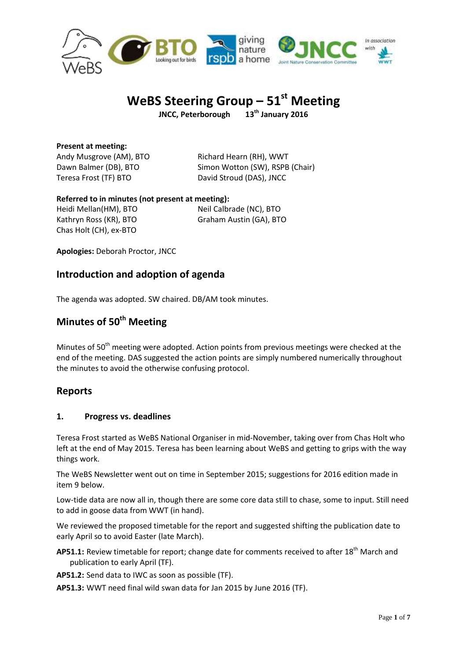

# **WeBS Steering Group – 51st Meeting**

**JNCC, Peterborough 13th January 2016**

**Present at meeting:** Andy Musgrove (AM), BTO Richard Hearn (RH), WWT Teresa Frost (TF) BTO David Stroud (DAS), JNCC

Dawn Balmer (DB), BTO Simon Wotton (SW), RSPB (Chair)

## **Referred to in minutes (not present at meeting):**

Heidi Mellan(HM), BTO Neil Calbrade (NC), BTO Kathryn Ross (KR), BTO Graham Austin (GA), BTO Chas Holt (CH), ex-BTO

**Apologies:** Deborah Proctor, JNCC

## **Introduction and adoption of agenda**

The agenda was adopted. SW chaired. DB/AM took minutes.

## **Minutes of 50th Meeting**

Minutes of  $50<sup>th</sup>$  meeting were adopted. Action points from previous meetings were checked at the end of the meeting. DAS suggested the action points are simply numbered numerically throughout the minutes to avoid the otherwise confusing protocol.

## **Reports**

## **1. Progress vs. deadlines**

Teresa Frost started as WeBS National Organiser in mid-November, taking over from Chas Holt who left at the end of May 2015. Teresa has been learning about WeBS and getting to grips with the way things work.

The WeBS Newsletter went out on time in September 2015; suggestions for 2016 edition made in item 9 below.

Low-tide data are now all in, though there are some core data still to chase, some to input. Still need to add in goose data from WWT (in hand).

We reviewed the proposed timetable for the report and suggested shifting the publication date to early April so to avoid Easter (late March).

- **AP51.1:** Review timetable for report; change date for comments received to after 18<sup>th</sup> March and publication to early April (TF).
- **AP51.2:** Send data to IWC as soon as possible (TF).
- **AP51.3:** WWT need final wild swan data for Jan 2015 by June 2016 (TF).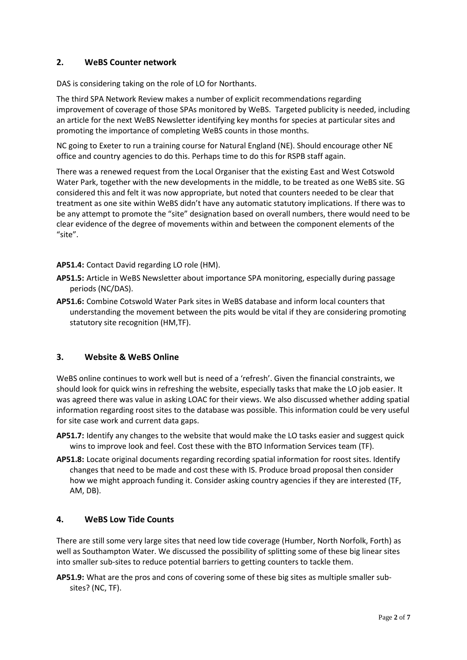## **2. WeBS Counter network**

DAS is considering taking on the role of LO for Northants.

The third SPA Network Review makes a number of explicit recommendations regarding improvement of coverage of those SPAs monitored by WeBS. Targeted publicity is needed, including an article for the next WeBS Newsletter identifying key months for species at particular sites and promoting the importance of completing WeBS counts in those months.

NC going to Exeter to run a training course for Natural England (NE). Should encourage other NE office and country agencies to do this. Perhaps time to do this for RSPB staff again.

There was a renewed request from the Local Organiser that the existing East and West Cotswold Water Park, together with the new developments in the middle, to be treated as one WeBS site. SG considered this and felt it was now appropriate, but noted that counters needed to be clear that treatment as one site within WeBS didn't have any automatic statutory implications. If there was to be any attempt to promote the "site" designation based on overall numbers, there would need to be clear evidence of the degree of movements within and between the component elements of the "site".

**AP51.4:** Contact David regarding LO role (HM).

- **AP51.5:** Article in WeBS Newsletter about importance SPA monitoring, especially during passage periods (NC/DAS).
- **AP51.6:** Combine Cotswold Water Park sites in WeBS database and inform local counters that understanding the movement between the pits would be vital if they are considering promoting statutory site recognition (HM,TF).

## **3. Website & WeBS Online**

WeBS online continues to work well but is need of a 'refresh'. Given the financial constraints, we should look for quick wins in refreshing the website, especially tasks that make the LO job easier. It was agreed there was value in asking LOAC for their views. We also discussed whether adding spatial information regarding roost sites to the database was possible. This information could be very useful for site case work and current data gaps.

- **AP51.7:** Identify any changes to the website that would make the LO tasks easier and suggest quick wins to improve look and feel. Cost these with the BTO Information Services team (TF).
- **AP51.8:** Locate original documents regarding recording spatial information for roost sites. Identify changes that need to be made and cost these with IS. Produce broad proposal then consider how we might approach funding it. Consider asking country agencies if they are interested (TF, AM, DB).

## **4. WeBS Low Tide Counts**

There are still some very large sites that need low tide coverage (Humber, North Norfolk, Forth) as well as Southampton Water. We discussed the possibility of splitting some of these big linear sites into smaller sub-sites to reduce potential barriers to getting counters to tackle them.

**AP51.9:** What are the pros and cons of covering some of these big sites as multiple smaller subsites? (NC, TF).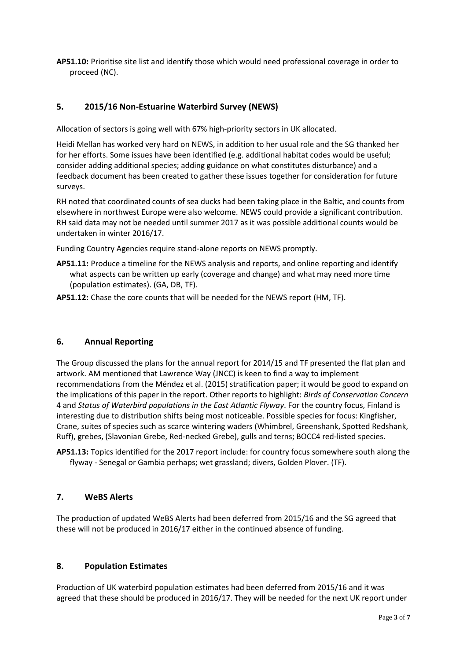**AP51.10:** Prioritise site list and identify those which would need professional coverage in order to proceed (NC).

## **5. 2015/16 Non-Estuarine Waterbird Survey (NEWS)**

Allocation of sectors is going well with 67% high-priority sectors in UK allocated.

Heidi Mellan has worked very hard on NEWS, in addition to her usual role and the SG thanked her for her efforts. Some issues have been identified (e.g. additional habitat codes would be useful; consider adding additional species; adding guidance on what constitutes disturbance) and a feedback document has been created to gather these issues together for consideration for future surveys.

RH noted that coordinated counts of sea ducks had been taking place in the Baltic, and counts from elsewhere in northwest Europe were also welcome. NEWS could provide a significant contribution. RH said data may not be needed until summer 2017 as it was possible additional counts would be undertaken in winter 2016/17.

Funding Country Agencies require stand-alone reports on NEWS promptly.

- **AP51.11:** Produce a timeline for the NEWS analysis and reports, and online reporting and identify what aspects can be written up early (coverage and change) and what may need more time (population estimates). (GA, DB, TF).
- **AP51.12:** Chase the core counts that will be needed for the NEWS report (HM, TF).

## **6. Annual Reporting**

The Group discussed the plans for the annual report for 2014/15 and TF presented the flat plan and artwork. AM mentioned that Lawrence Way (JNCC) is keen to find a way to implement recommendations from the Méndez et al. (2015) stratification paper; it would be good to expand on the implications of this paper in the report. Other reports to highlight: *Birds of Conservation Concern* 4 and *Status of Waterbird populations in the East Atlantic Flyway*. For the country focus, Finland is interesting due to distribution shifts being most noticeable. Possible species for focus: Kingfisher, Crane, suites of species such as scarce wintering waders (Whimbrel, Greenshank, Spotted Redshank, Ruff), grebes, (Slavonian Grebe, Red-necked Grebe), gulls and terns; BOCC4 red-listed species.

**AP51.13:** Topics identified for the 2017 report include: for country focus somewhere south along the flyway - Senegal or Gambia perhaps; wet grassland; divers, Golden Plover. (TF).

## **7. WeBS Alerts**

The production of updated WeBS Alerts had been deferred from 2015/16 and the SG agreed that these will not be produced in 2016/17 either in the continued absence of funding.

#### **8. Population Estimates**

Production of UK waterbird population estimates had been deferred from 2015/16 and it was agreed that these should be produced in 2016/17. They will be needed for the next UK report under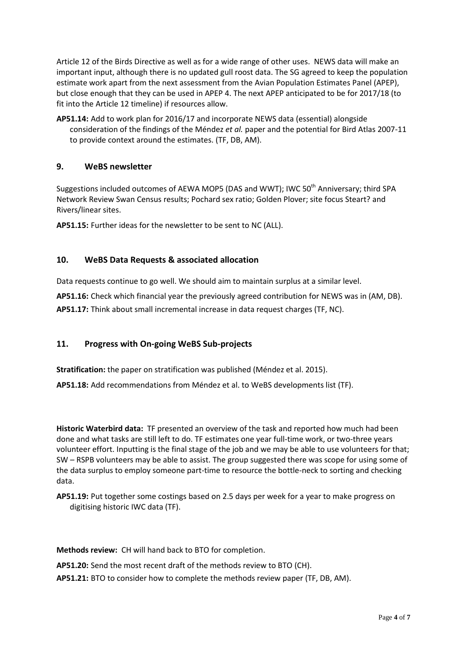Article 12 of the Birds Directive as well as for a wide range of other uses. NEWS data will make an important input, although there is no updated gull roost data. The SG agreed to keep the population estimate work apart from the next assessment from the Avian Population Estimates Panel (APEP), but close enough that they can be used in APEP 4. The next APEP anticipated to be for 2017/18 (to fit into the Article 12 timeline) if resources allow.

**AP51.14:** Add to work plan for 2016/17 and incorporate NEWS data (essential) alongside consideration of the findings of the Méndez *et al.* paper and the potential for Bird Atlas 2007-11 to provide context around the estimates. (TF, DB, AM).

## **9. WeBS newsletter**

Suggestions included outcomes of AEWA MOP5 (DAS and WWT); IWC 50<sup>th</sup> Anniversary; third SPA Network Review Swan Census results; Pochard sex ratio; Golden Plover; site focus Steart? and Rivers/linear sites.

**AP51.15:** Further ideas for the newsletter to be sent to NC (ALL).

#### **10. WeBS Data Requests & associated allocation**

Data requests continue to go well. We should aim to maintain surplus at a similar level.

**AP51.16:** Check which financial year the previously agreed contribution for NEWS was in (AM, DB). **AP51.17:** Think about small incremental increase in data request charges (TF, NC).

#### **11. Progress with On-going WeBS Sub-projects**

**Stratification:** the paper on stratification was published (Méndez et al. 2015).

**AP51.18:** Add recommendations from Méndez et al. to WeBS developments list (TF).

**Historic Waterbird data:** TF presented an overview of the task and reported how much had been done and what tasks are still left to do. TF estimates one year full-time work, or two-three years volunteer effort. Inputting is the final stage of the job and we may be able to use volunteers for that; SW – RSPB volunteers may be able to assist. The group suggested there was scope for using some of the data surplus to employ someone part-time to resource the bottle-neck to sorting and checking data.

**AP51.19:** Put together some costings based on 2.5 days per week for a year to make progress on digitising historic IWC data (TF).

**Methods review:** CH will hand back to BTO for completion.

**AP51.20:** Send the most recent draft of the methods review to BTO (CH).

**AP51.21:** BTO to consider how to complete the methods review paper (TF, DB, AM).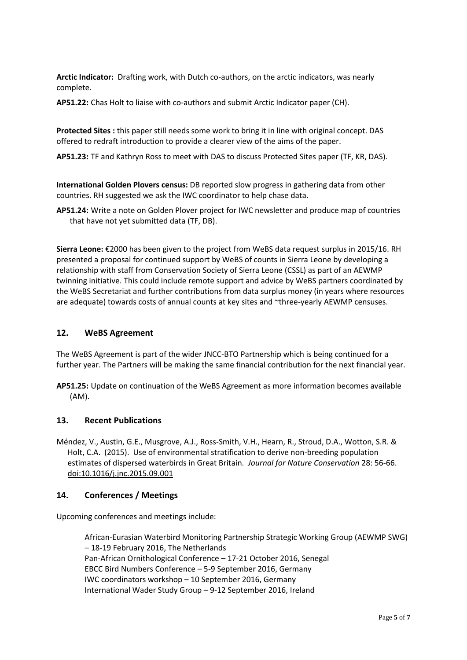**Arctic Indicator:** Drafting work, with Dutch co-authors, on the arctic indicators, was nearly complete.

**AP51.22:** Chas Holt to liaise with co-authors and submit Arctic Indicator paper (CH).

**Protected Sites :** this paper still needs some work to bring it in line with original concept. DAS offered to redraft introduction to provide a clearer view of the aims of the paper.

**AP51.23:** TF and Kathryn Ross to meet with DAS to discuss Protected Sites paper (TF, KR, DAS).

**International Golden Plovers census:** DB reported slow progress in gathering data from other countries. RH suggested we ask the IWC coordinator to help chase data.

**AP51.24:** Write a note on Golden Plover project for IWC newsletter and produce map of countries that have not yet submitted data (TF, DB).

**Sierra Leone:** €2000 has been given to the project from WeBS data request surplus in 2015/16. RH presented a proposal for continued support by WeBS of counts in Sierra Leone by developing a relationship with staff from Conservation Society of Sierra Leone (CSSL) as part of an AEWMP twinning initiative. This could include remote support and advice by WeBS partners coordinated by the WeBS Secretariat and further contributions from data surplus money (in years where resources are adequate) towards costs of annual counts at key sites and ~three-yearly AEWMP censuses.

#### **12. WeBS Agreement**

The WeBS Agreement is part of the wider JNCC-BTO Partnership which is being continued for a further year. The Partners will be making the same financial contribution for the next financial year.

**AP51.25:** Update on continuation of the WeBS Agreement as more information becomes available (AM).

#### **13. Recent Publications**

Méndez, V., Austin, G.E., Musgrove, A.J., Ross-Smith, V.H., Hearn, R., Stroud, D.A., Wotton, S.R. & Holt, C.A. (2015). Use of environmental stratification to derive non-breeding population estimates of dispersed waterbirds in Great Britain. *Journal for Nature Conservation* 28: 56-66. doi:10.1016/j.jnc.2015.09.001

#### **14. Conferences / Meetings**

Upcoming conferences and meetings include:

African-Eurasian Waterbird Monitoring Partnership Strategic Working Group (AEWMP SWG) – 18-19 February 2016, The Netherlands Pan-African Ornithological Conference – 17-21 October 2016, Senegal EBCC Bird Numbers Conference – 5-9 September 2016, Germany IWC coordinators workshop – 10 September 2016, Germany International Wader Study Group – 9-12 September 2016, Ireland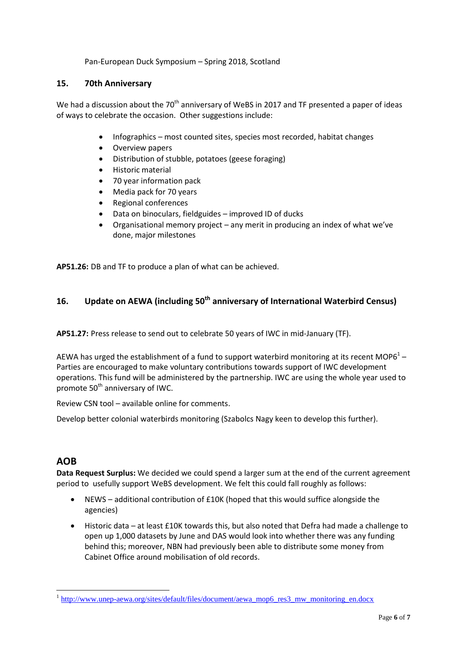Pan-European Duck Symposium – Spring 2018, Scotland

### **15. 70th Anniversary**

We had a discussion about the  $70<sup>th</sup>$  anniversary of WeBS in 2017 and TF presented a paper of ideas of ways to celebrate the occasion. Other suggestions include:

- Infographics most counted sites, species most recorded, habitat changes
- Overview papers
- Distribution of stubble, potatoes (geese foraging)
- Historic material
- 70 year information pack
- Media pack for 70 years
- Regional conferences
- Data on binoculars, fieldguides improved ID of ducks
- Organisational memory project any merit in producing an index of what we've done, major milestones

**AP51.26:** DB and TF to produce a plan of what can be achieved.

## **16. Update on AEWA (including 50th anniversary of International Waterbird Census)**

**AP51.27:** Press release to send out to celebrate 50 years of IWC in mid-January (TF).

AEWA has urged the establishment of a fund to support waterbird monitoring at its recent MOP6<sup>1</sup> – Parties are encouraged to make voluntary contributions towards support of IWC development operations. This fund will be administered by the partnership. IWC are using the whole year used to promote 50<sup>th</sup> anniversary of IWC.

Review CSN tool – available online for comments.

Develop better colonial waterbirds monitoring (Szabolcs Nagy keen to develop this further).

## **AOB**

1

**Data Request Surplus:** We decided we could spend a larger sum at the end of the current agreement period to usefully support WeBS development. We felt this could fall roughly as follows:

- NEWS additional contribution of £10K (hoped that this would suffice alongside the agencies)
- Historic data at least £10K towards this, but also noted that Defra had made a challenge to open up 1,000 datasets by June and DAS would look into whether there was any funding behind this; moreover, NBN had previously been able to distribute some money from Cabinet Office around mobilisation of old records.

<sup>&</sup>lt;sup>1</sup> [http://www.unep-aewa.org/sites/default/files/document/aewa\\_mop6\\_res3\\_mw\\_monitoring\\_en.docx](http://www.unep-aewa.org/sites/default/files/document/aewa_mop6_res3_mw_monitoring_en.docx)